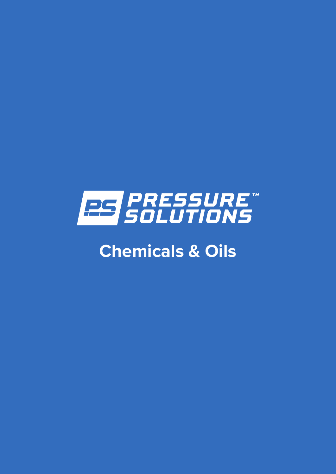

# **Chemicals & Oils**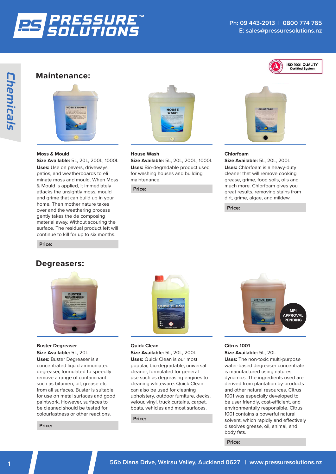

ISO 9001 QUALITY **Certified System** 

## **Maintenance:**



#### **Moss & Mould** USES: Use on pavers, driveways, patios, and weatherboards applied, international moss, moss, moss, moss, moss, moss, moss, moss, moss, moss, moss, moss, moss, moss, mos

**Size Available:** 5L, 20L, 200L, 1000L USES: Use on pavers, driveways, patios, and weatherboards **Uses:** Use on pavers, driveways, patios, and weatherboards to eli minate moss and mould. When Moss<br>& Mould is applied it immediately & Mould is applied, it immediately attacks the unsightly moss, mould attacks the unsignity moss, mould<br>and grime that can build up in your home. Then mother nature takes over and the weathering process gently takes the de composing material away. Without scouring the  $\overline{\phantom{a}}$  surface. The residual product left will For the resided product on the cannot continue to kill for up to six months. ize Available: 5L, 20L, 200L, 1000L atios, and weatherboards to eli t<mark>e Avaliable:</mark> SL, ZUL, ZUUL, IUUUL nos, and weatherboards to en surface. The residual product left will conditionate to kill for up to six montris. and derivative that can build up in your home. Then we have the mother will be a set of the mother of the moth conditive to kill for up to six months. **ze Available:** 5L, 20L, 200L, 1000L and grime that can build up in your home. Then mother was a second up in your home. Then mother was a second u<br>Then mother was a second up in your home. The mother was a second up in your home. The mother was a second up atios, and weatherboards to eil tacks the ilze Availabie: 5L, 20L, 200L, 1000L<br>Ises: Hse on pavers -driveways the decomposing material away. Without scouring the atios, and weatherboards to eir<br>ninate moss and mould. When Moss



### **House Wash** use wash

**Size Available:** 5L, 20L, 200L, 1000L **Uses:** Bio-degradable product used for washing houses and building maintenance.  $=$ s. Dio-de washing houses and building the second terms in the second state of the second state in the second state in the second state in the second state in the second state in the second state in the second state in the second sta manders.<br>Contractors vasni <mark>es:</mark> Bio-deg

**Price:**



## **Chlorfoam**

Size Available: 5L, 20L, 200L **Uses:** Chlorfoam is a heavy-duty cleaner that will remove cooking grease, grime, food soils, oils and much more. Chlorfoam gives you great results, removing stains from dirt, grime, algae, and mildew. <mark>Size Available:</mark> 5L, 20L, 200L  $\mathop{\mathsf{cleaner}}$  that will remove  $\mathop{\mathsf{cooki}}$  $t \in \mathbb{R}$  and  $\mathbb{R}$  cooking  $\mathbb{R}$  .  $\mathbb{R}$  cooking  $\mathbb{R}$  and  $\mathbb{R}$  are  $\mathbb{R}$  and  $\mathbb{R}$  are  $\mathbb{R}$  and  $\mathbb{R}$  are  $\mathbb{R}$  are  $\mathbb{R}$  and  $\mathbb{R}$  are  $\mathbb{R}$  and  $\mathbb{R}$  are  $\mathbb{R}$  are  $\mathbb$ reas  $U$  a hearing is a heavy-duty cleaner is a heavy-duty cleaner is a heavy-duty cleaner is a heavy-duty cleaner is a heavy-duty cleaner is a heavy-duty cleaner is a heavy-duty cleaner is a heavy-duty cleaner is a heavy-duty  $n$ ze Avaliable. SL, ZUL, ZUUL grimme, algae will be  $s = s$ .  $s = t - t - c$  $\overline{\mathsf{S}}$ ize Avaliabie. JL, ZUL, ZUU clos<sup>-</sup>

**Price:** SIZES AVAILABLE: 5L, 20L

SIZES AVAILABLE: 5L, 20L

SIZES AVAILABLE: 5L, 20L

**Price:** the decomposing material away. Without scouring the  $S$ rice: The residual product left will continue to kill for up to kill for up to kill for up to kill for up to kill for  $U$ the decomposing material away. Without scouring the surface. The residual product left will continue to kill for up to kill for up to kill for up to kill for up to kill for up to kill for up to kill for up to kill for up to kill for up to kill for up to kill for up to kill the decomposing material away. Without scouring the surface. The residual product left will continue to kill for up to kill for up to kill for up to kill for up to kill for up to kill for up to kill for up to kill for up to kill for up to kill for up to kill for up to kill

# Degreasers:



**Buster Degreaser Size Available:** 5L, 20L Size Available: 5L, 20L  $\mathcal{C}$  bester buster Degreeser is a concentration of  $\mathcal{C}$ 

**Uses:** Buster Degreaser is a concentrated liquid ammoniated concomplete agence announced<br>degreaser, formulated to speedily acgreaser, formalated to speeding<br>remove a range of contaminant remove a range or contammant<br>such as bitumen, oil, grease etc sucn as bitumen, oii, grease etc<br>from all surfaces. Buster is suitable for use on metal surfaces and good paintwork. However, surfaces to be cleaned should be tested for colourfastness or other reactions. degreaser, formulated to speedily  $\mathsf{size}$  Avaliable, JL, ZUL emove a range or contan  $G$  and  $G$  are extended to  $G$ . acgreaser, romanded to spec remove a range of contaminant biodinabline bol bis

**Price:** biodegradable fleet wash biodegradable fleet wash Price: USES: Highly concentrated, USES: Highly concentrated, biodegradable fleet was held USES: Highly concentrated,



## **Quick Clean**

**Size Available:** 5L, 20L, 200L Size Available: 5L, 20L, 200L  $\blacksquare$  and  $\blacksquare$  cleaners of  $\blacksquare$  . Formulated formulation for  $\blacksquare$ 

**USES AVANGERSE, 200, 2002**<br>Uses: Quick Clean is our most popular, bio-degradable, universal used in the cleaner, formulated for general eleaner, formalated for general cleaning whiteware. Quick Clean can also be used for cleaning upholstery, outdoor furniture, decks, .<br>velour, vinyl, truck curtains, carpet, boats, vehicles and most surfaces.  $\mathbf{P}$ mos, remnances refigencial **s:** Quick Clean is our most such as degreasing en **Uses:** Quick Clean is our mo decembris, vermendield ref. generations, carefully, the current current current current current current current current current current current current current current current current current current current current curren use such as degreasing gines to<br>Clean  $\frac{311}{2}$ 

**Price:** SIZES AVAILABLE: 5L, 20L SIZES AVAILABLE: 5L, 20L SIZES AVAILABLE: 5L, 20L Price: USES: Commercial-grade disinfectant USES: Commercial-grade disinfectant  $U$ ses:  $C$ ommercial $\alpha$ 

MPI

MPI

MPI

C-31



#### Citrus 1001 **Size Available:** 5L, 20L e <mark>Available:</mark> 5L, 20L  $\epsilon$  Available. JL, ZUL  $O(n - \Delta n)^{1-\frac{1}{2}}$  $G$  and  $G$  are extended using  $G$ .

**Uses:** The non-toxic multi-purpose water-based degreaser concentrate mator subsurfuggledeer concentrate is manufactured using natures<br>dynamics. The ingredients used are derived from plantation by-products and other natural resources. Citrus 1001 was especially developed to be user friendly, cost-efficient, and environmentally responsible. Citrus 1001 contains a powerful natural solvent, which rapidly and effectively dissolves grease, oil, animal, and body fats. is manufactured using natures hamics. The ingredients used a be individually and the user of the user of  $e$ aynamics. The ingredients use vent

**Price:**

MPI

MPI

MPI

CHEMICALS